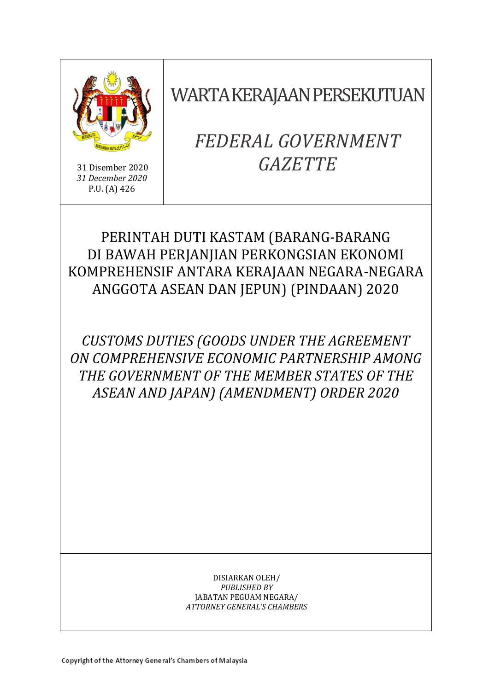

31 Disember 2020 *31 December 2020* P.U. (A) 426

WARTA KERAJAAN PERSEKUTUAN

# *FEDERAL GOVERNMENT GAZETTE*

## PERINTAH DUTI KASTAM (BARANG-BARANG DI BAWAH PERJANJIAN PERKONGSIAN EKONOMI KOMPREHENSIF ANTARA KERAJAAN NEGARA-NEGARA ANGGOTA ASEAN DAN JEPUN) (PINDAAN) 2020

*CUSTOMS DUTIES (GOODS UNDER THE AGREEMENT ON COMPREHENSIVE ECONOMIC PARTNERSHIP AMONG THE GOVERNMENT OF THE MEMBER STATES OF THE ASEAN AND JAPAN) (AMENDMENT) ORDER 2020*

> DISIARKAN OLEH/ *PUBLISHED BY* JABATAN PEGUAM NEGARA/ *ATTORNEY GENERAL'S CHAMBERS*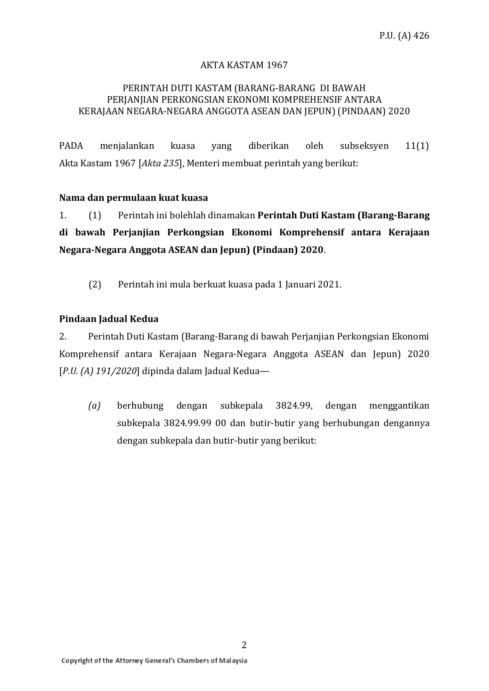#### AKTA KASTAM 1967

#### PERINTAH DUTI KASTAM (BARANG-BARANG DI BAWAH PERJANJIAN PERKONGSIAN EKONOMI KOMPREHENSIF ANTARA KERAJAAN NEGARA-NEGARA ANGGOTA ASEAN DAN JEPUN) (PINDAAN) 2020

PADA menjalankan kuasa yang diberikan oleh subseksyen 11(1) Akta Kastam 1967 [*Akta 235*], Menteri membuat perintah yang berikut:

#### **Nama dan permulaan kuat kuasa**

1. (1) Perintah ini bolehlah dinamakan **Perintah Duti Kastam (Barang-Barang di bawah Perjanjian Perkongsian Ekonomi Komprehensif antara Kerajaan Negara-Negara Anggota ASEAN dan Jepun) (Pindaan) 2020**.

(2) Perintah ini mula berkuat kuasa pada 1 Januari 2021.

#### **Pindaan Jadual Kedua**

2. Perintah Duti Kastam (Barang-Barang di bawah Perjanjian Perkongsian Ekonomi Komprehensif antara Kerajaan Negara-Negara Anggota ASEAN dan Jepun) 2020 [*P.U. (A) 191/2020*] dipinda dalam Jadual Kedua—

*(a)* berhubung dengan subkepala 3824.99, dengan menggantikan subkepala 3824.99.99 00 dan butir-butir yang berhubungan dengannya dengan subkepala dan butir-butir yang berikut: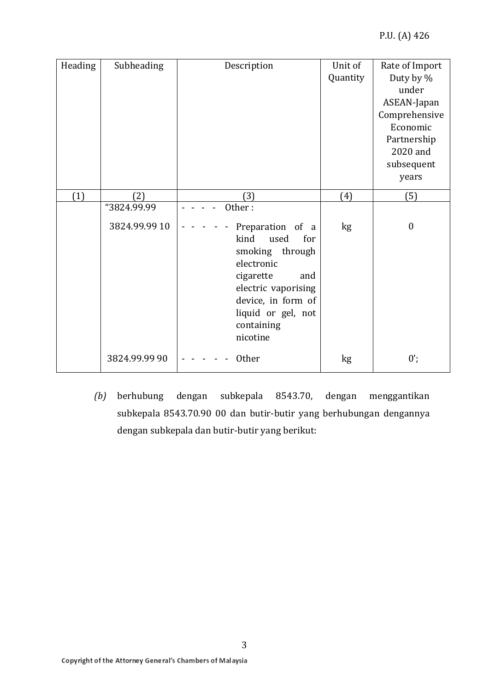#### P.U. (A) 426

| Heading | Subheading    | Description                                                                                                                                                                               | Unit of         | Rate of Import   |
|---------|---------------|-------------------------------------------------------------------------------------------------------------------------------------------------------------------------------------------|-----------------|------------------|
|         |               |                                                                                                                                                                                           | Quantity        | Duty by %        |
|         |               |                                                                                                                                                                                           |                 | under            |
|         |               |                                                                                                                                                                                           |                 | ASEAN-Japan      |
|         |               |                                                                                                                                                                                           |                 | Comprehensive    |
|         |               |                                                                                                                                                                                           |                 | Economic         |
|         |               |                                                                                                                                                                                           |                 | Partnership      |
|         |               |                                                                                                                                                                                           |                 | 2020 and         |
|         |               |                                                                                                                                                                                           |                 | subsequent       |
|         |               |                                                                                                                                                                                           |                 | years            |
| (1)     | (2)           | (3)                                                                                                                                                                                       | (4)             | (5)              |
|         | "3824.99.99   | Other:                                                                                                                                                                                    |                 |                  |
|         | 3824.99.99 10 | Preparation of a<br>kind<br>used<br>for<br>smoking through<br>electronic<br>cigarette<br>and<br>electric vaporising<br>device, in form of<br>liquid or gel, not<br>containing<br>nicotine | kg <sub>2</sub> | $\boldsymbol{0}$ |
|         | 3824.99.99 90 | Other                                                                                                                                                                                     | kg              | $0$ ;            |

*(b)* berhubung dengan subkepala 8543.70, dengan menggantikan subkepala 8543.70.90 00 dan butir-butir yang berhubungan dengannya dengan subkepala dan butir-butir yang berikut: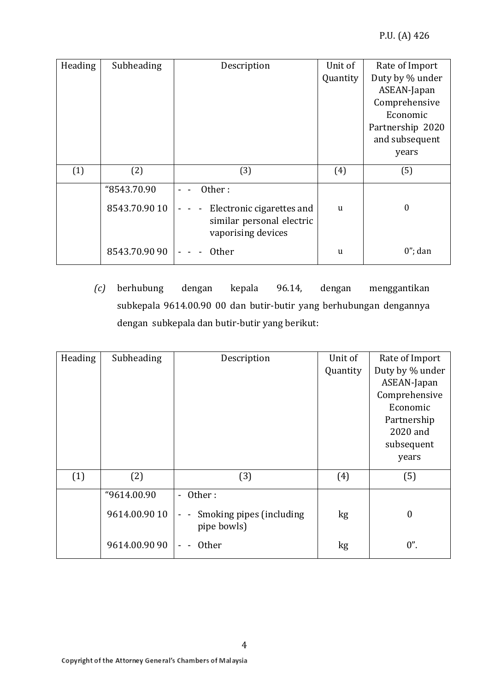| Heading | Subheading    | Description                                                                  | Unit of  | Rate of Import   |
|---------|---------------|------------------------------------------------------------------------------|----------|------------------|
|         |               |                                                                              | Quantity | Duty by % under  |
|         |               |                                                                              |          | ASEAN-Japan      |
|         |               |                                                                              |          | Comprehensive    |
|         |               |                                                                              |          | Economic         |
|         |               |                                                                              |          | Partnership 2020 |
|         |               |                                                                              |          | and subsequent   |
|         |               |                                                                              |          | years            |
| (1)     | (2)           | (3)                                                                          | (4)      | (5)              |
|         |               |                                                                              |          |                  |
|         | "8543.70.90   | Other:                                                                       |          |                  |
|         | 8543.70.90 10 | Electronic cigarettes and<br>similar personal electric<br>vaporising devices | u        | $\boldsymbol{0}$ |
|         | 8543.70.90 90 | <b>Other</b>                                                                 | u        | $0$ "; dan       |

*(c)* berhubung dengan kepala 96.14, dengan menggantikan subkepala 9614.00.90 00 dan butir-butir yang berhubungan dengannya dengan subkepala dan butir-butir yang berikut:

| Heading | Subheading    | Description                                     | Unit of  | Rate of Import   |
|---------|---------------|-------------------------------------------------|----------|------------------|
|         |               |                                                 | Quantity | Duty by % under  |
|         |               |                                                 |          | ASEAN-Japan      |
|         |               |                                                 |          | Comprehensive    |
|         |               |                                                 |          | Economic         |
|         |               |                                                 |          | Partnership      |
|         |               |                                                 |          | 2020 and         |
|         |               |                                                 |          | subsequent       |
|         |               |                                                 |          | years            |
| (1)     | (2)           | (3)                                             | (4)      | (5)              |
|         | "9614.00.90   | Other:<br>$\overline{\phantom{0}}$              |          |                  |
|         | 9614.00.90 10 | Smoking pipes (including<br>$ -$<br>pipe bowls) | kg       | $\boldsymbol{0}$ |
|         | 9614.00.90 90 | <b>Other</b>                                    | kg       | $0$ ".           |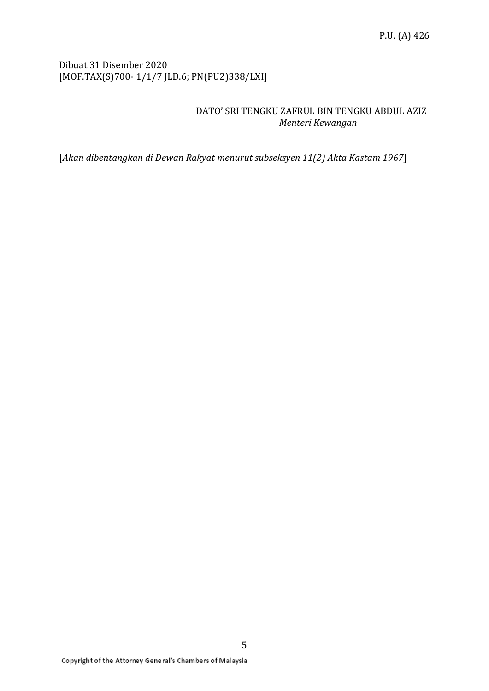#### Dibuat 31 Disember 2020 [MOF.TAX(S)700- 1/1/7 JLD.6; PN(PU2)338/LXI]

#### DATO' SRI TENGKU ZAFRUL BIN TENGKU ABDUL AZIZ  *Menteri Kewangan*

[*Akan dibentangkan di Dewan Rakyat menurut subseksyen 11(2) Akta Kastam 1967*]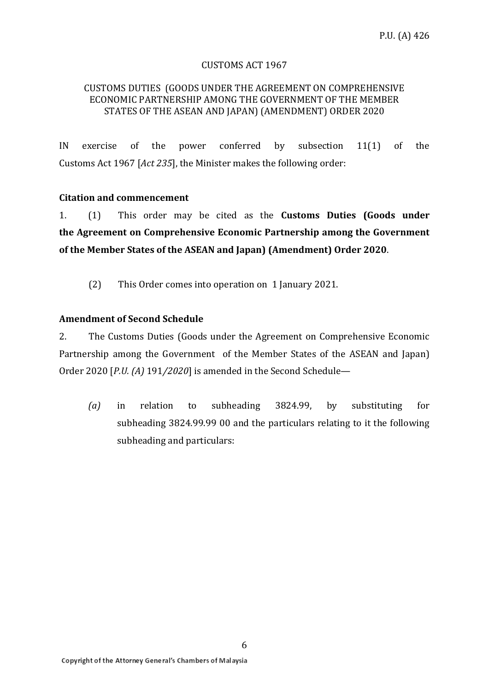#### CUSTOMS ACT 1967

#### CUSTOMS DUTIES (GOODS UNDER THE AGREEMENT ON COMPREHENSIVE ECONOMIC PARTNERSHIP AMONG THE GOVERNMENT OF THE MEMBER STATES OF THE ASEAN AND JAPAN) (AMENDMENT) ORDER 2020

IN exercise of the power conferred by subsection 11(1) of the Customs Act 1967 [*Act 235*], the Minister makes the following order:

#### **Citation and commencement**

1. (1) This order may be cited as the **Customs Duties (Goods under the Agreement on Comprehensive Economic Partnership among the Government of the Member States of the ASEAN and Japan) (Amendment) Order 2020**.

(2) This Order comes into operation on 1 January 2021.

#### **Amendment of Second Schedule**

2. The Customs Duties (Goods under the Agreement on Comprehensive Economic Partnership among the Government of the Member States of the ASEAN and Japan) Order 2020 [*P.U. (A)* 191*/2020*] is amended in the Second Schedule—

*(a)* in relation to subheading 3824.99, by substituting for subheading 3824.99.99 00 and the particulars relating to it the following subheading and particulars: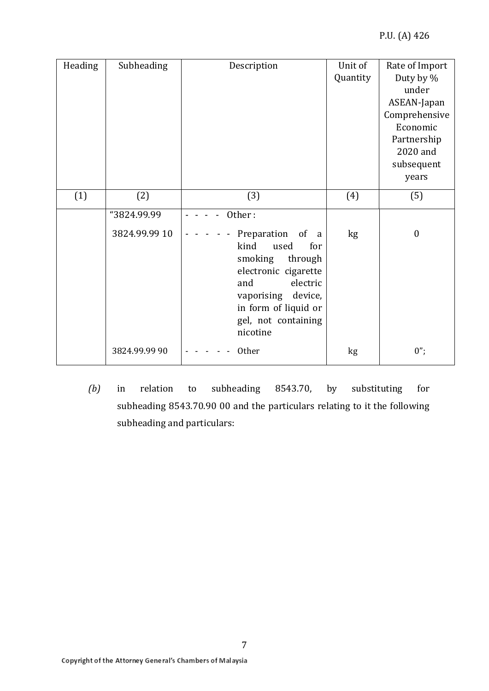| Heading | Subheading    | Description                                                                                                                                                                                                   | Unit of  | Rate of Import   |
|---------|---------------|---------------------------------------------------------------------------------------------------------------------------------------------------------------------------------------------------------------|----------|------------------|
|         |               |                                                                                                                                                                                                               | Quantity | Duty by %        |
|         |               |                                                                                                                                                                                                               |          | under            |
|         |               |                                                                                                                                                                                                               |          | ASEAN-Japan      |
|         |               |                                                                                                                                                                                                               |          | Comprehensive    |
|         |               |                                                                                                                                                                                                               |          | Economic         |
|         |               |                                                                                                                                                                                                               |          | Partnership      |
|         |               |                                                                                                                                                                                                               |          | 2020 and         |
|         |               |                                                                                                                                                                                                               |          | subsequent       |
|         |               |                                                                                                                                                                                                               |          | years            |
| (1)     | (2)           | (3)                                                                                                                                                                                                           | (4)      | (5)              |
|         | "3824.99.99   | Other:                                                                                                                                                                                                        |          |                  |
|         | 3824.99.99 10 | Preparation<br>of<br><sub>a</sub><br>kind<br>used<br>for<br>smoking<br>through<br>electronic cigarette<br>electric<br>and<br>vaporising<br>device,<br>in form of liquid or<br>gel, not containing<br>nicotine | kg       | $\boldsymbol{0}$ |
|         | 3824.99.99 90 | Other                                                                                                                                                                                                         | kg       | $0$ ";           |

*(b)* in relation to subheading 8543.70, by substituting for subheading 8543.70.90 00 and the particulars relating to it the following subheading and particulars: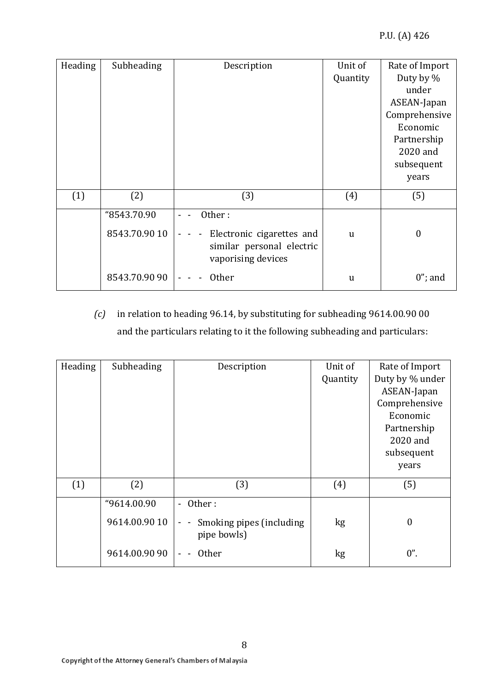| Heading | Subheading    | Description                                                                  | Unit of      | Rate of Import   |
|---------|---------------|------------------------------------------------------------------------------|--------------|------------------|
|         |               |                                                                              | Quantity     | Duty by %        |
|         |               |                                                                              |              | under            |
|         |               |                                                                              |              | ASEAN-Japan      |
|         |               |                                                                              |              | Comprehensive    |
|         |               |                                                                              |              | Economic         |
|         |               |                                                                              |              | Partnership      |
|         |               |                                                                              |              | 2020 and         |
|         |               |                                                                              |              | subsequent       |
|         |               |                                                                              |              | years            |
| (1)     | (2)           | (3)                                                                          | (4)          | (5)              |
|         | "8543.70.90   | Other:                                                                       |              |                  |
|         | 8543.70.90 10 | Electronic cigarettes and<br>similar personal electric<br>vaporising devices | <sub>u</sub> | $\boldsymbol{0}$ |
|         | 8543.70.90 90 | <b>Other</b>                                                                 | u            | $0$ "; and       |

### *(c)* in relation to heading 96.14, by substituting for subheading 9614.00.90 00 and the particulars relating to it the following subheading and particulars:

| Heading | Subheading    | Description                                                         | Unit of  | Rate of Import   |
|---------|---------------|---------------------------------------------------------------------|----------|------------------|
|         |               |                                                                     | Quantity | Duty by % under  |
|         |               |                                                                     |          | ASEAN-Japan      |
|         |               |                                                                     |          | Comprehensive    |
|         |               |                                                                     |          | Economic         |
|         |               |                                                                     |          | Partnership      |
|         |               |                                                                     |          | 2020 and         |
|         |               |                                                                     |          | subsequent       |
|         |               |                                                                     |          | years            |
| (1)     | (2)           | (3)                                                                 | (4)      | (5)              |
|         | "9614.00.90   | Other:<br>$\overline{\phantom{0}}$                                  |          |                  |
|         | 9614.00.90 10 | Smoking pipes (including<br>$\overline{\phantom{a}}$<br>pipe bowls) | kg       | $\boldsymbol{0}$ |
|         | 9614.00.90 90 | <b>Other</b>                                                        | kg       | $0$ ".           |